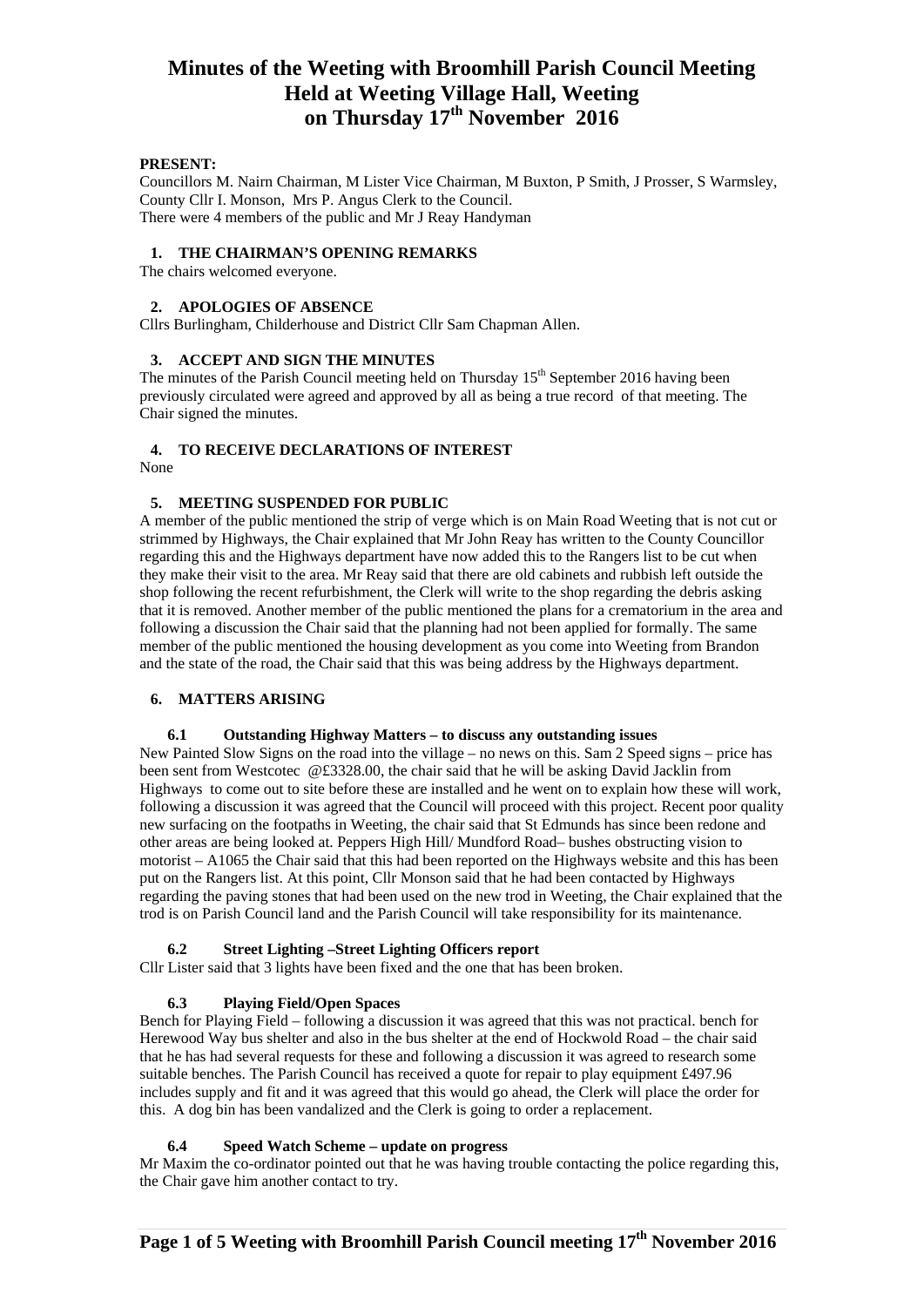## **PRESENT:**

Councillors M. Nairn Chairman, M Lister Vice Chairman, M Buxton, P Smith, J Prosser, S Warmsley, County Cllr I. Monson, Mrs P. Angus Clerk to the Council. There were 4 members of the public and Mr J Reay Handyman

### **1. THE CHAIRMAN'S OPENING REMARKS**

The chairs welcomed everyone.

#### **2. APOLOGIES OF ABSENCE**

Cllrs Burlingham, Childerhouse and District Cllr Sam Chapman Allen.

### **3. ACCEPT AND SIGN THE MINUTES**

The minutes of the Parish Council meeting held on Thursday  $15<sup>th</sup>$  September 2016 having been previously circulated were agreed and approved by all as being a true record of that meeting. The Chair signed the minutes.

## **4. TO RECEIVE DECLARATIONS OF INTEREST**

None

## **5. MEETING SUSPENDED FOR PUBLIC**

A member of the public mentioned the strip of verge which is on Main Road Weeting that is not cut or strimmed by Highways, the Chair explained that Mr John Reay has written to the County Councillor regarding this and the Highways department have now added this to the Rangers list to be cut when they make their visit to the area. Mr Reay said that there are old cabinets and rubbish left outside the shop following the recent refurbishment, the Clerk will write to the shop regarding the debris asking that it is removed. Another member of the public mentioned the plans for a crematorium in the area and following a discussion the Chair said that the planning had not been applied for formally. The same member of the public mentioned the housing development as you come into Weeting from Brandon and the state of the road, the Chair said that this was being address by the Highways department.

### **6. MATTERS ARISING**

#### **6.1 Outstanding Highway Matters – to discuss any outstanding issues**

New Painted Slow Signs on the road into the village – no news on this. Sam 2 Speed signs – price has been sent from Westcotec @£3328.00, the chair said that he will be asking David Jacklin from Highways to come out to site before these are installed and he went on to explain how these will work, following a discussion it was agreed that the Council will proceed with this project. Recent poor quality new surfacing on the footpaths in Weeting, the chair said that St Edmunds has since been redone and other areas are being looked at. Peppers High Hill/ Mundford Road– bushes obstructing vision to motorist – A1065 the Chair said that this had been reported on the Highways website and this has been put on the Rangers list. At this point, Cllr Monson said that he had been contacted by Highways regarding the paving stones that had been used on the new trod in Weeting, the Chair explained that the trod is on Parish Council land and the Parish Council will take responsibility for its maintenance.

## **6.2 Street Lighting –Street Lighting Officers report**

Cllr Lister said that 3 lights have been fixed and the one that has been broken.

### **6.3 Playing Field/Open Spaces**

Bench for Playing Field – following a discussion it was agreed that this was not practical. bench for Herewood Way bus shelter and also in the bus shelter at the end of Hockwold Road – the chair said that he has had several requests for these and following a discussion it was agreed to research some suitable benches. The Parish Council has received a quote for repair to play equipment £497.96 includes supply and fit and it was agreed that this would go ahead, the Clerk will place the order for this. A dog bin has been vandalized and the Clerk is going to order a replacement.

## **6.4 Speed Watch Scheme – update on progress**

Mr Maxim the co-ordinator pointed out that he was having trouble contacting the police regarding this, the Chair gave him another contact to try.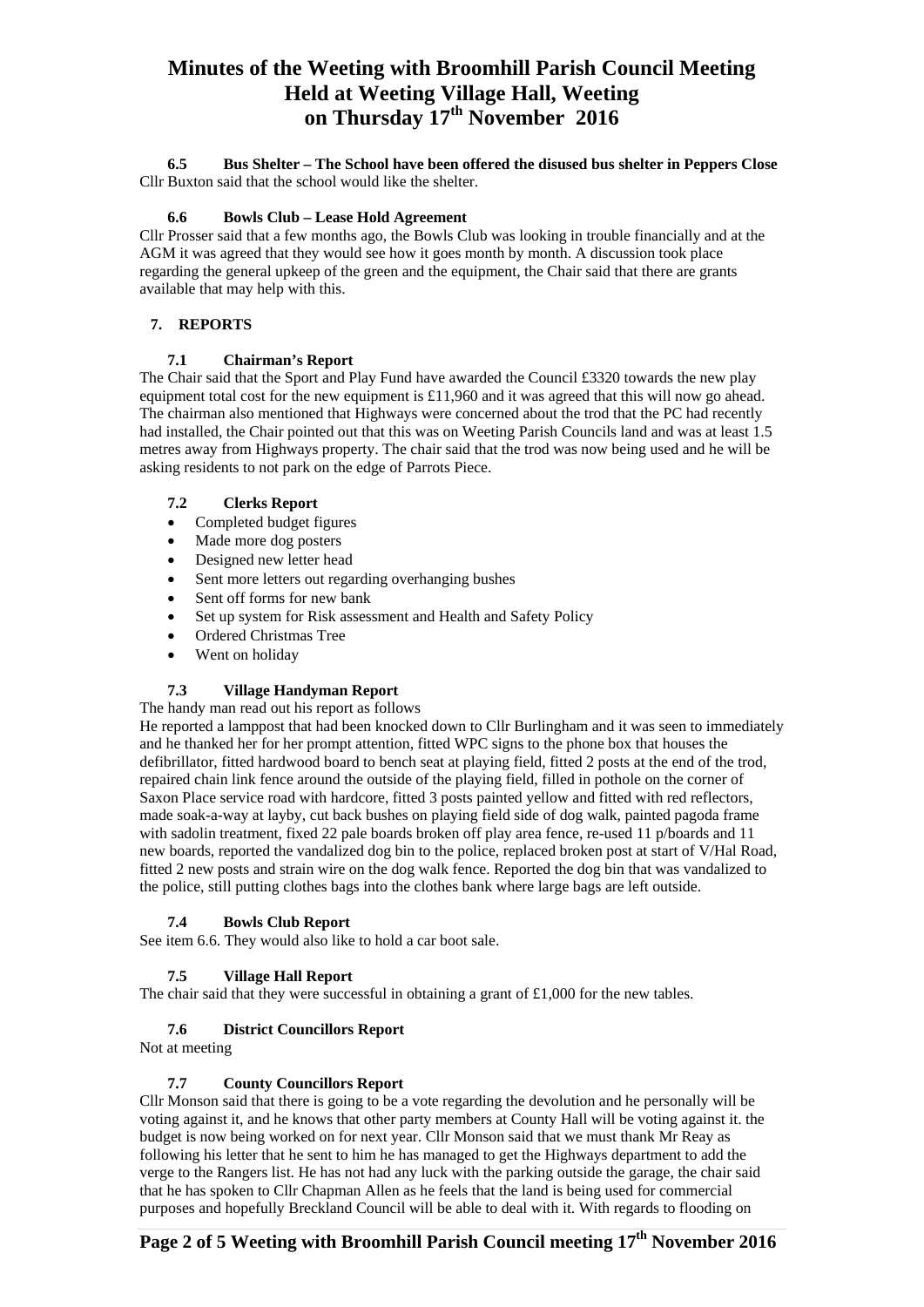**6.5 Bus Shelter – The School have been offered the disused bus shelter in Peppers Close** Cllr Buxton said that the school would like the shelter.

## **6.6 Bowls Club – Lease Hold Agreement**

Cllr Prosser said that a few months ago, the Bowls Club was looking in trouble financially and at the AGM it was agreed that they would see how it goes month by month. A discussion took place regarding the general upkeep of the green and the equipment, the Chair said that there are grants available that may help with this.

## **7. REPORTS**

## **7.1 Chairman's Report**

The Chair said that the Sport and Play Fund have awarded the Council £3320 towards the new play equipment total cost for the new equipment is  $£11,960$  and it was agreed that this will now go ahead. The chairman also mentioned that Highways were concerned about the trod that the PC had recently had installed, the Chair pointed out that this was on Weeting Parish Councils land and was at least 1.5 metres away from Highways property. The chair said that the trod was now being used and he will be asking residents to not park on the edge of Parrots Piece.

## **7.2 Clerks Report**

- Completed budget figures
- Made more dog posters
- Designed new letter head
- Sent more letters out regarding overhanging bushes
- Sent off forms for new bank
- Set up system for Risk assessment and Health and Safety Policy
- Ordered Christmas Tree
- Went on holiday

## **7.3 Village Handyman Report**

The handy man read out his report as follows

He reported a lamppost that had been knocked down to Cllr Burlingham and it was seen to immediately and he thanked her for her prompt attention, fitted WPC signs to the phone box that houses the defibrillator, fitted hardwood board to bench seat at playing field, fitted 2 posts at the end of the trod, repaired chain link fence around the outside of the playing field, filled in pothole on the corner of Saxon Place service road with hardcore, fitted 3 posts painted yellow and fitted with red reflectors, made soak-a-way at layby, cut back bushes on playing field side of dog walk, painted pagoda frame with sadolin treatment, fixed 22 pale boards broken off play area fence, re-used 11 p/boards and 11 new boards, reported the vandalized dog bin to the police, replaced broken post at start of V/Hal Road, fitted 2 new posts and strain wire on the dog walk fence. Reported the dog bin that was vandalized to the police, still putting clothes bags into the clothes bank where large bags are left outside.

### **7.4 Bowls Club Report**

See item 6.6. They would also like to hold a car boot sale.

## **7.5 Village Hall Report**

The chair said that they were successful in obtaining a grant of £1,000 for the new tables.

### **7.6 District Councillors Report**

Not at meeting

### **7.7 County Councillors Report**

Cllr Monson said that there is going to be a vote regarding the devolution and he personally will be voting against it, and he knows that other party members at County Hall will be voting against it. the budget is now being worked on for next year. Cllr Monson said that we must thank Mr Reay as following his letter that he sent to him he has managed to get the Highways department to add the verge to the Rangers list. He has not had any luck with the parking outside the garage, the chair said that he has spoken to Cllr Chapman Allen as he feels that the land is being used for commercial purposes and hopefully Breckland Council will be able to deal with it. With regards to flooding on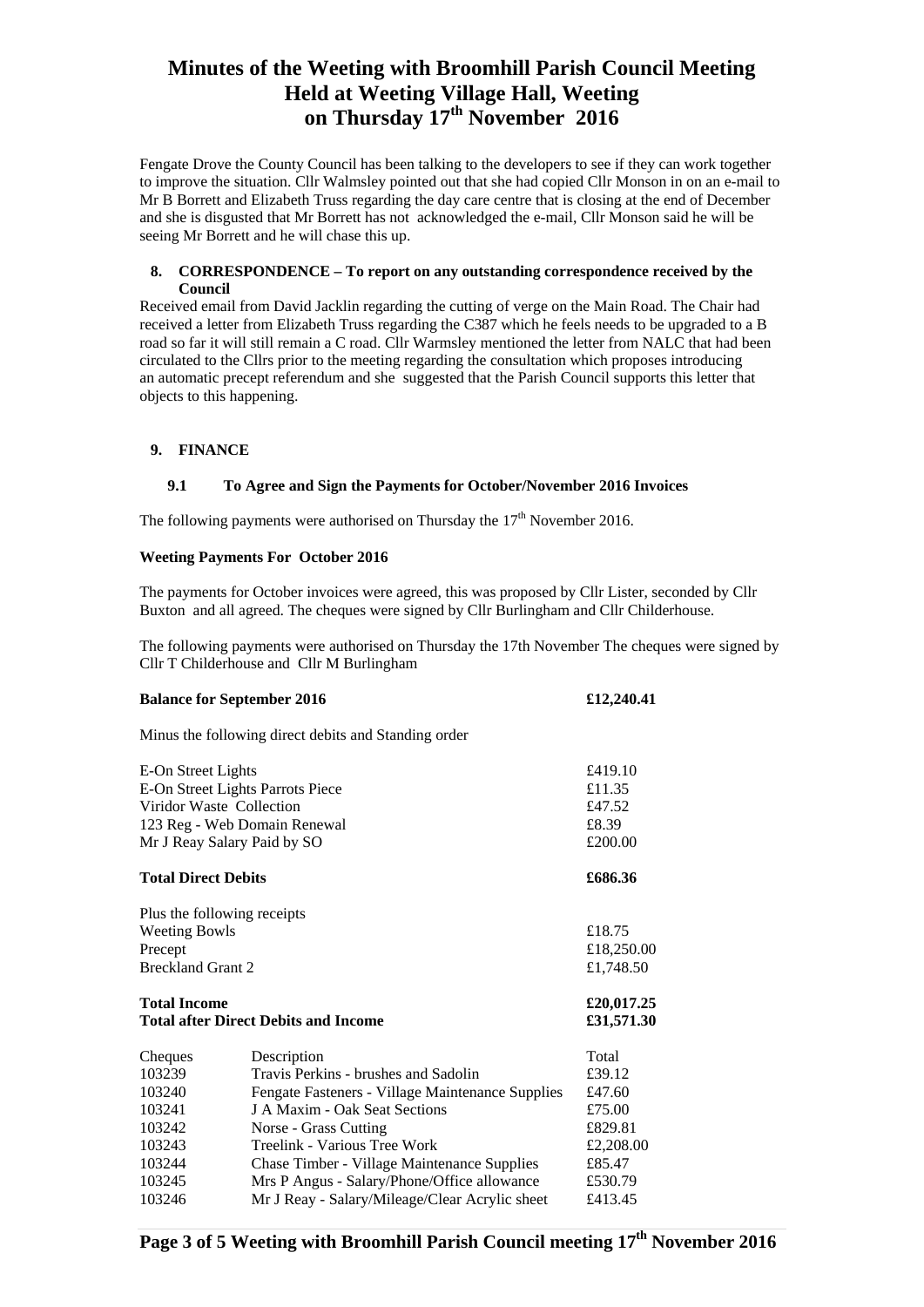Fengate Drove the County Council has been talking to the developers to see if they can work together to improve the situation. Cllr Walmsley pointed out that she had copied Cllr Monson in on an e-mail to Mr B Borrett and Elizabeth Truss regarding the day care centre that is closing at the end of December and she is disgusted that Mr Borrett has not acknowledged the e-mail, Cllr Monson said he will be seeing Mr Borrett and he will chase this up.

## **8. CORRESPONDENCE – To report on any outstanding correspondence received by the Council**

Received email from David Jacklin regarding the cutting of verge on the Main Road. The Chair had received a letter from Elizabeth Truss regarding the C387 which he feels needs to be upgraded to a B road so far it will still remain a C road. Cllr Warmsley mentioned the letter from NALC that had been circulated to the Cllrs prior to the meeting regarding the consultation which proposes introducing an automatic precept referendum and she suggested that the Parish Council supports this letter that objects to this happening.

## **9. FINANCE**

### **9.1 To Agree and Sign the Payments for October/November 2016 Invoices**

The following payments were authorised on Thursday the  $17<sup>th</sup>$  November 2016.

#### **Weeting Payments For October 2016**

The payments for October invoices were agreed, this was proposed by Cllr Lister, seconded by Cllr Buxton and all agreed. The cheques were signed by Cllr Burlingham and Cllr Childerhouse.

The following payments were authorised on Thursday the 17th November The cheques were signed by Cllr T Childerhouse and Cllr M Burlingham

#### **Balance for September 2016 £12,240.41**

Minus the following direct debits and Standing order

| E-On Street Lights<br>E-On Street Lights Parrots Piece<br>Viridor Waste Collection<br>123 Reg - Web Domain Renewal<br>Mr J Reay Salary Paid by SO<br><b>Total Direct Debits</b> |                                                  | £419.10<br>£11.35<br>£47.52<br>£8.39<br>£200.00<br>£686.36 |
|---------------------------------------------------------------------------------------------------------------------------------------------------------------------------------|--------------------------------------------------|------------------------------------------------------------|
|                                                                                                                                                                                 |                                                  |                                                            |
| <b>Weeting Bowls</b>                                                                                                                                                            |                                                  | £18.75                                                     |
| Precept                                                                                                                                                                         |                                                  | £18,250.00                                                 |
| <b>Breckland Grant 2</b>                                                                                                                                                        |                                                  | £1,748.50                                                  |
| <b>Total Income</b><br><b>Total after Direct Debits and Income</b>                                                                                                              | £20,017.25<br>£31,571.30                         |                                                            |
| Cheques                                                                                                                                                                         | Description                                      | Total                                                      |
| 103239                                                                                                                                                                          | Travis Perkins - brushes and Sadolin             | £39.12                                                     |
| 103240                                                                                                                                                                          | Fengate Fasteners - Village Maintenance Supplies | £47.60                                                     |
| 103241                                                                                                                                                                          | J A Maxim - Oak Seat Sections                    | £75.00                                                     |
| 103242                                                                                                                                                                          | Norse - Grass Cutting                            | £829.81                                                    |
| 103243                                                                                                                                                                          | Treelink - Various Tree Work                     | £2,208.00                                                  |
| 103244                                                                                                                                                                          | Chase Timber - Village Maintenance Supplies      | £85.47                                                     |
| 103245                                                                                                                                                                          | Mrs P Angus - Salary/Phone/Office allowance      | £530.79                                                    |
| 103246                                                                                                                                                                          | Mr J Reay - Salary/Mileage/Clear Acrylic sheet   | £413.45                                                    |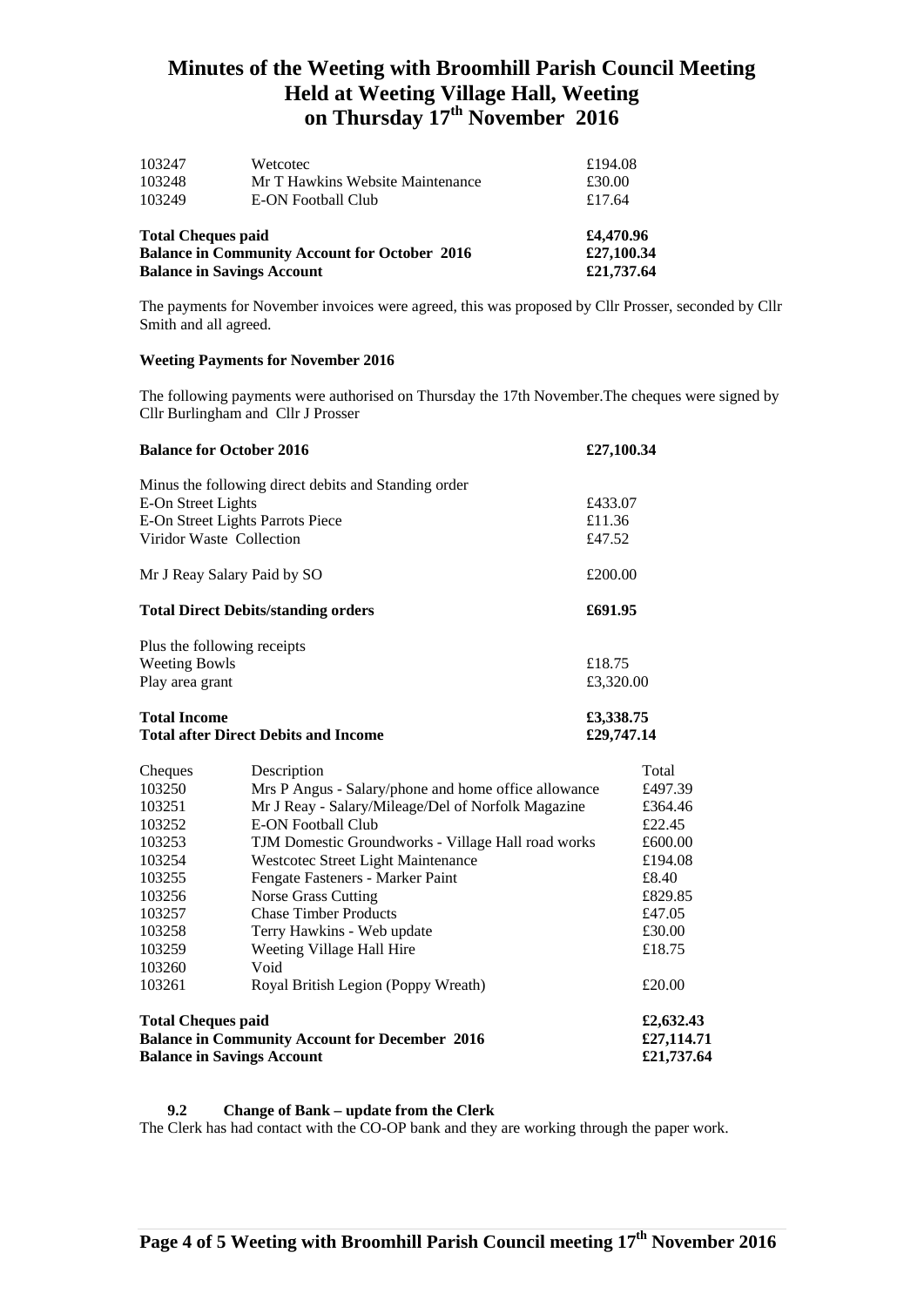| <b>Balance in Savings Account</b>                    | £21,737.64                       |         |
|------------------------------------------------------|----------------------------------|---------|
| <b>Balance in Community Account for October 2016</b> | £4,470.96<br>£27,100.34          |         |
| <b>Total Cheques paid</b>                            |                                  |         |
| 103249                                               | E-ON Football Club               | £17.64  |
| 103248                                               | Mr T Hawkins Website Maintenance | £30.00  |
| 103247                                               | Wetcotec                         | £194.08 |

The payments for November invoices were agreed, this was proposed by Cllr Prosser, seconded by Cllr Smith and all agreed.

## **Weeting Payments for November 2016**

The following payments were authorised on Thursday the 17th November.The cheques were signed by Cllr Burlingham and Cllr J Prosser

| <b>Balance for October 2016</b>                                    |                                                      | £27,100.34 |            |
|--------------------------------------------------------------------|------------------------------------------------------|------------|------------|
|                                                                    | Minus the following direct debits and Standing order |            |            |
| E-On Street Lights                                                 |                                                      | £433.07    |            |
| E-On Street Lights Parrots Piece                                   |                                                      | £11.36     |            |
|                                                                    | Viridor Waste Collection                             | £47.52     |            |
|                                                                    | Mr J Reay Salary Paid by SO                          | £200.00    |            |
| <b>Total Direct Debits/standing orders</b>                         |                                                      |            | £691.95    |
|                                                                    | Plus the following receipts                          |            |            |
| <b>Weeting Bowls</b>                                               |                                                      | £18.75     |            |
| Play area grant                                                    |                                                      | £3,320.00  |            |
| <b>Total Income</b><br><b>Total after Direct Debits and Income</b> |                                                      | £3,338.75  |            |
|                                                                    |                                                      | £29,747.14 |            |
| Cheques                                                            | Description                                          |            | Total      |
| 103250                                                             | Mrs P Angus - Salary/phone and home office allowance |            | £497.39    |
| 103251                                                             | Mr J Reay - Salary/Mileage/Del of Norfolk Magazine   |            | £364.46    |
| 103252                                                             | <b>E-ON Football Club</b>                            |            | £22.45     |
| 103253                                                             | TJM Domestic Groundworks - Village Hall road works   |            | £600.00    |
| 103254                                                             | Westcotec Street Light Maintenance                   |            | £194.08    |
| 103255                                                             | Fengate Fasteners - Marker Paint                     |            | £8.40      |
| 103256                                                             | <b>Norse Grass Cutting</b>                           |            | £829.85    |
| 103257                                                             | <b>Chase Timber Products</b>                         |            | £47.05     |
| 103258                                                             | Terry Hawkins - Web update                           |            | £30.00     |
| 103259                                                             | Weeting Village Hall Hire                            |            | £18.75     |
| 103260                                                             | Void                                                 |            |            |
| 103261                                                             | Royal British Legion (Poppy Wreath)                  |            | £20.00     |
| <b>Total Cheques paid</b>                                          |                                                      |            | £2,632.43  |
| <b>Balance in Community Account for December 2016</b>              |                                                      |            | £27,114.71 |
| <b>Balance in Savings Account</b>                                  |                                                      |            | £21,737.64 |

#### **9.2 Change of Bank – update from the Clerk**

The Clerk has had contact with the CO-OP bank and they are working through the paper work.